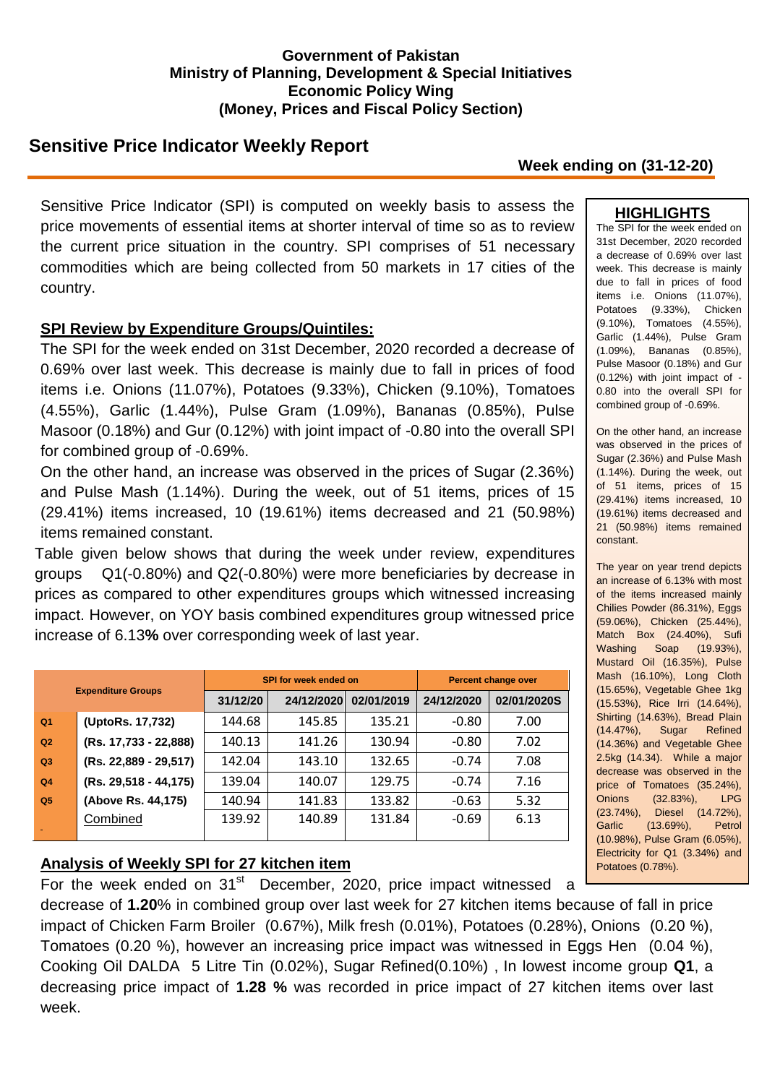### **Government of Pakistan Ministry of Planning, Development & Special Initiatives Economic Policy Wing (Money, Prices and Fiscal Policy Section)**

# **Sensitive Price Indicator Weekly Report**

### **Week ending on (31-12-20)**

Sensitive Price Indicator (SPI) is computed on weekly basis to assess the price movements of essential items at shorter interval of time so as to review the current price situation in the country. SPI comprises of 51 necessary commodities which are being collected from 50 markets in 17 cities of the country.

### **SPI Review by Expenditure Groups/Quintiles:**

The SPI for the week ended on 31st December, 2020 recorded a decrease of 0.69% over last week. This decrease is mainly due to fall in prices of food items i.e. Onions (11.07%), Potatoes (9.33%), Chicken (9.10%), Tomatoes (4.55%), Garlic (1.44%), Pulse Gram (1.09%), Bananas (0.85%), Pulse Masoor (0.18%) and Gur (0.12%) with joint impact of -0.80 into the overall SPI for combined group of -0.69%.

On the other hand, an increase was observed in the prices of Sugar (2.36%) and Pulse Mash (1.14%). During the week, out of 51 items, prices of 15 (29.41%) items increased, 10 (19.61%) items decreased and 21 (50.98%) items remained constant.

Table given below shows that during the week under review, expenditures groups Q1(-0.80%) and Q2(-0.80%) were more beneficiaries by decrease in prices as compared to other expenditures groups which witnessed increasing impact. However, on YOY basis combined expenditures group witnessed price increase of 6.13**%** over corresponding week of last year.

| <b>Expenditure Groups</b> |                       |          | <b>SPI for week ended on</b> | <b>Percent change over</b> |            |             |
|---------------------------|-----------------------|----------|------------------------------|----------------------------|------------|-------------|
|                           |                       | 31/12/20 | 24/12/2020                   | 02/01/2019                 | 24/12/2020 | 02/01/2020S |
| Q <sub>1</sub>            | (UptoRs. 17,732)      | 144.68   | 145.85                       | 135.21                     | $-0.80$    | 7.00        |
| Q2                        | (Rs. 17,733 - 22,888) | 140.13   | 141.26                       | 130.94                     | $-0.80$    | 7.02        |
| Q <sub>3</sub>            | (Rs. 22,889 - 29,517) | 142.04   | 143.10                       | 132.65                     | $-0.74$    | 7.08        |
| Q <sub>4</sub>            | (Rs. 29,518 - 44,175) | 139.04   | 140.07                       | 129.75                     | $-0.74$    | 7.16        |
| Q <sub>5</sub>            | (Above Rs. 44,175)    | 140.94   | 141.83                       | 133.82                     | $-0.63$    | 5.32        |
|                           | Combined              | 139.92   | 140.89                       | 131.84                     | $-0.69$    | 6.13        |

## **Analysis of Weekly SPI for 27 kitchen item**

For the week ended on  $31<sup>st</sup>$  December, 2020, price impact witnessed a

decrease of **1.20**% in combined group over last week for 27 kitchen items because of fall in price impact of Chicken Farm Broiler (0.67%), Milk fresh (0.01%), Potatoes (0.28%), Onions (0.20 %), Tomatoes (0.20 %), however an increasing price impact was witnessed in Eggs Hen (0.04 %), Cooking Oil DALDA 5 Litre Tin (0.02%), Sugar Refined(0.10%) , In lowest income group **Q1**, a decreasing price impact of **1.28 %** was recorded in price impact of 27 kitchen items over last week.

## **HIGHLIGHTS**

The SPI for the week ended on 31st December, 2020 recorded a decrease of 0.69% over last week. This decrease is mainly due to fall in prices of food items i.e. Onions (11.07%), Potatoes (9.33%), Chicken (9.10%), Tomatoes (4.55%), Garlic (1.44%), Pulse Gram (1.09%), Bananas (0.85%), Pulse Masoor (0.18%) and Gur (0.12%) with joint impact of - 0.80 into the overall SPI for combined group of -0.69%.

On the other hand, an increase was observed in the prices of Sugar (2.36%) and Pulse Mash (1.14%). During the week, out of 51 items, prices of 15 (29.41%) items increased, 10 (19.61%) items decreased and 21 (50.98%) items remained constant.

The year on year trend depicts an increase of 6.13% with most of the items increased mainly Chilies Powder (86.31%), Eggs (59.06%), Chicken (25.44%), Match Box (24.40%), Sufi Washing Soap (19.93%), Mustard Oil (16.35%), Pulse Mash (16.10%), Long Cloth (15.65%), Vegetable Ghee 1kg (15.53%), Rice Irri (14.64%), Shirting (14.63%), Bread Plain (14.47%), Sugar Refined (14.36%) and Vegetable Ghee 2.5kg (14.34). While a major decrease was observed in the price of Tomatoes (35.24%), Onions (32.83%), LPG (23.74%), Diesel (14.72%), Garlic (13.69%), Petrol (10.98%), Pulse Gram (6.05%), Electricity for Q1 (3.34%) and Potatoes (0.78%).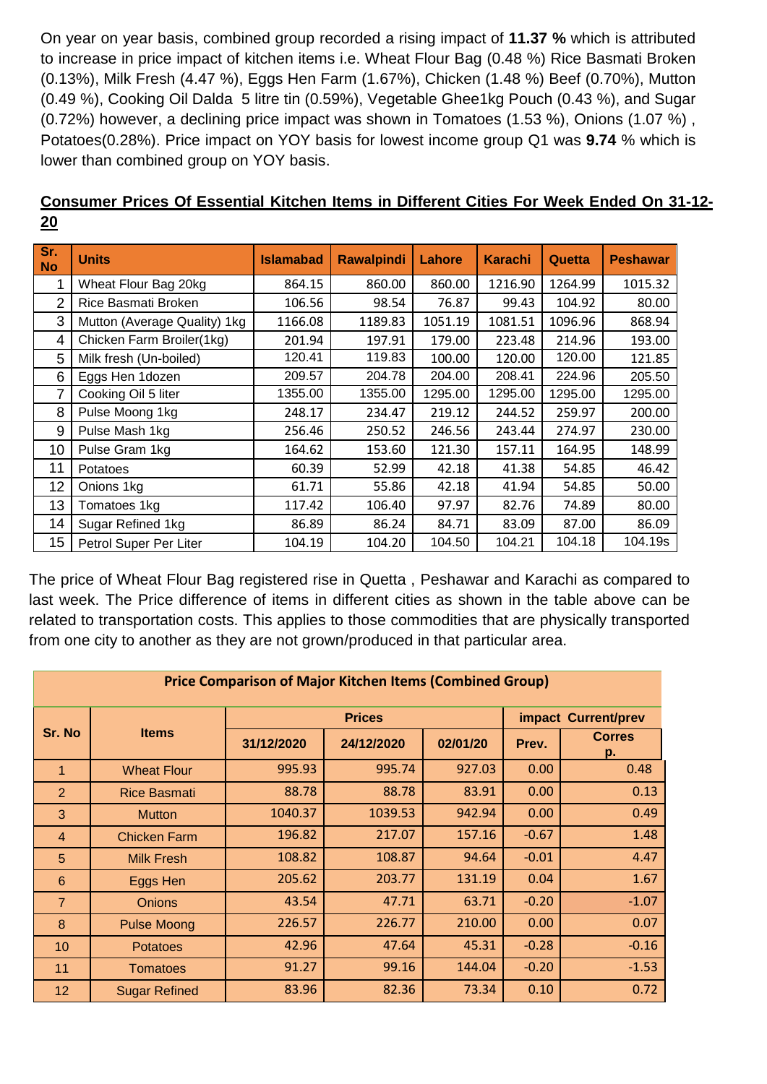On year on year basis, combined group recorded a rising impact of **11.37 %** which is attributed to increase in price impact of kitchen items i.e. Wheat Flour Bag (0.48 %) Rice Basmati Broken (0.13%), Milk Fresh (4.47 %), Eggs Hen Farm (1.67%), Chicken (1.48 %) Beef (0.70%), Mutton (0.49 %), Cooking Oil Dalda 5 litre tin (0.59%), Vegetable Ghee1kg Pouch (0.43 %), and Sugar (0.72%) however, a declining price impact was shown in Tomatoes (1.53 %), Onions (1.07 %) , Potatoes(0.28%). Price impact on YOY basis for lowest income group Q1 was **9.74** % which is lower than combined group on YOY basis.

| Sr.<br><b>No</b> | <b>Units</b>                 | <b>Islamabad</b> | <b>Rawalpindi</b> | Lahore  | <b>Karachi</b> | Quetta  | <b>Peshawar</b> |
|------------------|------------------------------|------------------|-------------------|---------|----------------|---------|-----------------|
|                  | Wheat Flour Bag 20kg         | 864.15           | 860.00            | 860.00  | 1216.90        | 1264.99 | 1015.32         |
| 2                | Rice Basmati Broken          | 106.56           | 98.54             | 76.87   | 99.43          | 104.92  | 80.00           |
| 3                | Mutton (Average Quality) 1kg | 1166.08          | 1189.83           | 1051.19 | 1081.51        | 1096.96 | 868.94          |
| 4                | Chicken Farm Broiler(1kg)    | 201.94           | 197.91            | 179.00  | 223.48         | 214.96  | 193.00          |
| 5                | Milk fresh (Un-boiled)       | 120.41           | 119.83            | 100.00  | 120.00         | 120.00  | 121.85          |
| 6                | Eggs Hen 1dozen              | 209.57           | 204.78            | 204.00  | 208.41         | 224.96  | 205.50          |
|                  | Cooking Oil 5 liter          | 1355.00          | 1355.00           | 1295.00 | 1295.00        | 1295.00 | 1295.00         |
| 8                | Pulse Moong 1kg              | 248.17           | 234.47            | 219.12  | 244.52         | 259.97  | 200.00          |
| 9                | Pulse Mash 1kg               | 256.46           | 250.52            | 246.56  | 243.44         | 274.97  | 230.00          |
| 10               | Pulse Gram 1kg               | 164.62           | 153.60            | 121.30  | 157.11         | 164.95  | 148.99          |
| 11               | Potatoes                     | 60.39            | 52.99             | 42.18   | 41.38          | 54.85   | 46.42           |
| 12               | Onions 1kg                   | 61.71            | 55.86             | 42.18   | 41.94          | 54.85   | 50.00           |
| 13               | Tomatoes 1kg                 | 117.42           | 106.40            | 97.97   | 82.76          | 74.89   | 80.00           |
| 14               | Sugar Refined 1kg            | 86.89            | 86.24             | 84.71   | 83.09          | 87.00   | 86.09           |
| 15 <sub>15</sub> | Petrol Super Per Liter       | 104.19           | 104.20            | 104.50  | 104.21         | 104.18  | 104.19s         |

## **Consumer Prices Of Essential Kitchen Items in Different Cities For Week Ended On 31-12- 20**

The price of Wheat Flour Bag registered rise in Quetta , Peshawar and Karachi as compared to last week. The Price difference of items in different cities as shown in the table above can be related to transportation costs. This applies to those commodities that are physically transported from one city to another as they are not grown/produced in that particular area.

| <b>Price Comparison of Major Kitchen Items (Combined Group)</b> |                      |            |               |                     |         |                     |  |  |
|-----------------------------------------------------------------|----------------------|------------|---------------|---------------------|---------|---------------------|--|--|
| Sr. No                                                          | <b>Items</b>         |            | <b>Prices</b> | impact Current/prev |         |                     |  |  |
|                                                                 |                      | 31/12/2020 | 24/12/2020    | 02/01/20            | Prev.   | <b>Corres</b><br>p. |  |  |
| 1                                                               | <b>Wheat Flour</b>   | 995.93     | 995.74        | 927.03              | 0.00    | 0.48                |  |  |
| $\overline{2}$                                                  | <b>Rice Basmati</b>  | 88.78      | 88.78         | 83.91               | 0.00    | 0.13                |  |  |
| 3                                                               | <b>Mutton</b>        | 1040.37    | 1039.53       | 942.94              | 0.00    | 0.49                |  |  |
| $\overline{4}$                                                  | <b>Chicken Farm</b>  | 196.82     | 217.07        | 157.16              | $-0.67$ | 1.48                |  |  |
| 5                                                               | <b>Milk Fresh</b>    | 108.82     | 108.87        | 94.64               | $-0.01$ | 4.47                |  |  |
| $6\phantom{1}6$                                                 | Eggs Hen             | 205.62     | 203.77        | 131.19              | 0.04    | 1.67                |  |  |
| $\overline{7}$                                                  | <b>Onions</b>        | 43.54      | 47.71         | 63.71               | $-0.20$ | $-1.07$             |  |  |
| 8                                                               | <b>Pulse Moong</b>   | 226.57     | 226.77        | 210.00              | 0.00    | 0.07                |  |  |
| 10                                                              | <b>Potatoes</b>      | 42.96      | 47.64         | 45.31               | $-0.28$ | $-0.16$             |  |  |
| 11                                                              | <b>Tomatoes</b>      | 91.27      | 99.16         | 144.04              | $-0.20$ | $-1.53$             |  |  |
| 12                                                              | <b>Sugar Refined</b> | 83.96      | 82.36         | 73.34               | 0.10    | 0.72                |  |  |